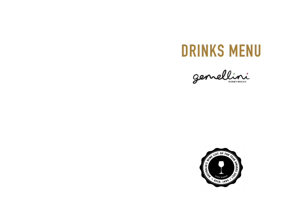# **DRINKS MENU**

Genrellini

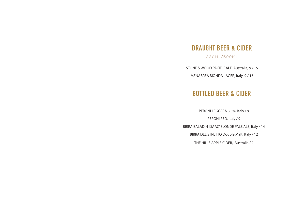## **DRAUGHT BEER & CIDER**

330ML/500ML

STONE & WOOD PACIFIC ALE, Australia, 9 / 15 MENABREA BIONDA LAGER, Italy 9 / 15

## **BOTTLED BEER & CIDER**

PERONI LEGGERA 3.5%, Italy / 9 PERONI RED, Italy / 9 BIRRA BALADIN 'ISAAC' BLONDE PALE ALE, Italy / 14 BIRRA DEL STRETTO Double Malt, Italy / 12 THE HILLS APPLE CIDER, Australia / 9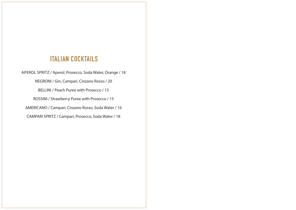## **ITALIAN COCKTAILS**

APEROL SPRITZ / Aperol, Prosecco, Soda Water, Orange / 18 NEGRONI / Gin, Campari, Cinzano Rosso / 20 BELLINI / Peach Puree with Prosecco / 15 ROSSINI / Strawberry Puree with Prosecco / 15 AMERICANO / Campari, Cinzano Rosso, Soda Water / 16 CAMPARI SPRITZ / Campari, Prosecco, Soda Water / 18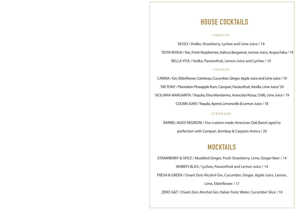## **HOUSE COCKTAILS**

#### SWEETER

SESSO / Vodka, Strawberry, Lychee and Lime Juice / 19 TESTA ROSSA / Gin, Fresh Raspberries, Italicus Bergamot, Lemon Juice, Acqua Faba / 19 BELLA VITA / Vodka, Passionfruit, Lemon Juice and Lychee / 19

#### FRESHER

CARINA / Gin, Elderflower, Cointreau, Cucumber, Ginger, Apple Juice and Lime Juice / 19 TIKI TONY / Plantation Pineapple Rum, Campari, Passionfruit, Vanilla, Lime Juice/ 20 SICILIANA MARGARITA / Tequila, Etna Mandarino, Aranciata Rossa, Chilli, Lime Juice / 19 COUSIN JUAN / Tequila, Aperol, Limoncello & Lemon Juice / 18

#### STRONGER

BARREL-AGED NEGRONI / Our custom made American Oak Barrel aged to

perfection with Campari, Bombay & Carpano Antica / 20

## **MOCKTAILS**

STRAWBERRY & SPICE / Muddled Ginger, Fresh Strawberry, Lime, Ginger Beer / 14

NOBBYS BLISS / Lychee, Passionfruit and Lemon Juice / 14

FRESH & GREEN / Ovant Zero Alcohol Gin, Cucumber, Ginger, Apple Juice, Lemon,

Lime, Elderflower / 17

ZERO G&T / Ovant Zero Alcohol Gin, Italian Tonic Water, Cucumber Slice / 10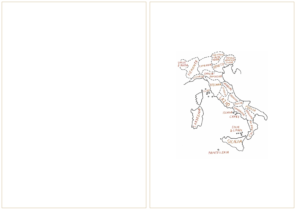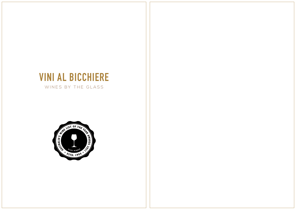

WINES BY THE GLASS

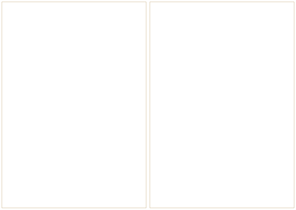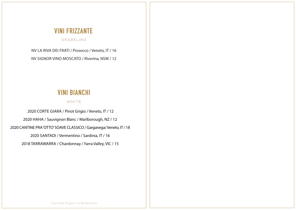# **VINI FRIZZANTE**

### SPARKLING

NV LA RIVA DEI FRATI / Prosecco / Veneto, IT / 16

NV SIGNOR VINO MOSCATO / Riverina, NSW / 12

## **VINI BIANCHI**

#### WHITE

 2020 CORTE GIARA / Pinot Grigio / Veneto, IT / 12 2020 HAHA / Sauvignon Blanc / Marlborough, NZ / 12 2020 CANTINE PRA 'OTTO' SOAVE CLASSICO / Garganega/ Veneto, IT / 18 2020 SANTADI / Vermentino / Sardinia, IT / 16 2018 TARRAWARRA / Chardonnay / Yarra Valley, VIC / 15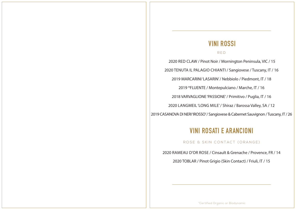## **VINI ROSSI**

#### RED

2020 RED CLAW / Pinot Noir / Mornington Peninsula, VIC / 15

2020 TENUTA IL PALAGIO CHIANTI / Sangiovese / Tuscany, IT / 16

2019 MARCARINI 'LASARIN' / Nebbiolo / Piedmont, IT / 18

2019 \*FLUENTE / Montepulciano / Marche, IT / 16

2018 VARVAGLIONE 'PASSIONE' / Primitivo / Puglia, IT / 16

2020 LANGMEIL 'LONG MILE' / Shiraz / Barossa Valley, SA / 12

2019 CASANOVA DI NERI 'IROSSO' / Sangiovese & Cabernet Sauvignon / Tuscany, IT / 26

## **VINI ROSATI E ARANCIONI**

### ROSE & SKIN CONTACT (ORANGE)

2020 RAMEAU D'OR ROSE / Cinsault & Grenache / Provence, FR / 14

2020 TOBLAR / Pinot Grigio (Skin Contact) / Friuli, IT / 15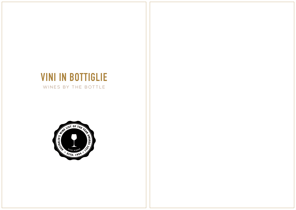# **VINI IN BOTTIGLIE**

WINES BY THE BOTTLE

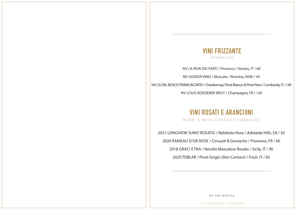

NV LA RIVA DEI FRATI / Prosecco / Veneto, IT / 60

NV SIGNOR VINO / Moscato / Riverina, NSW / 45

NV CA DEL BOSCO FRANCIACORTA / Chardonnay, Pinot Bianco & Pinot Nero / Lombardy, IT / 140

NV LOUIS ROEDERER BRUT / Champagne, FR / 150

## **VINI ROSATI E ARANCIONI**

ROSE & SKIN CONTACT (ORANGE)

2021 LONGVIEW 'JUNO' ROSATO / Nebbiolo Rose / Adelaide Hills, SA / 50 2020 RAMEAU D'OR ROSE / Cinsault & Grenache / Provence, FR / 60 2018 GRACI ETNA / Nerello Mascalese Rosato / Sicily, IT / 90 2020 TOBLAR / Pinot Grigio (Skin Contact) / Friuli, IT / 65

BY THE BOTTLE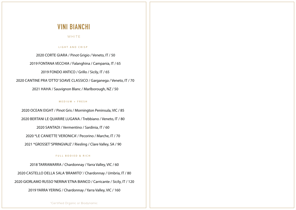## **VINI BIANCHI**

#### WHITE

#### LIGHT AND CRISP

 2020 CORTE GIARA / Pinot Grigio / Veneto, IT / 50 2019 FONTANA VECCHIA / Falanghina / Campania, IT / 65 2019 FONDO ANTICO / Grillo / Sicily, IT / 65 2020 CANTINE PRA 'OTTO' SOAVE CLASSICO / Garganega / Veneto, IT / 70 2021 HAHA / Sauvignon Blanc / Marlborough, NZ / 50

#### MEDIUM + FRESH

2020 OCEAN EIGHT / Pinot Gris / Mornington Peninsula, VIC / 85 2020 BERTANI LE QUARIRE LUGANA / Trebbiano / Veneto, IT / 80 2020 SANTADI / Vermentino / Sardinia, IT / 60 2020 \*LE CANIETTE 'VERONICA' / Pecorino / Marche, IT / 70 2021 \*GROSSET 'SPRINGVALE' / Riesling / Clare Valley, SA / 90

#### FULL BODIED & RICH

2018 TARRAWARRA / Chardonnay / Yarra Valley, VIC / 60 2020 CASTELLO DELLA SALA 'BRAMITO' / Chardonnay / Umbria, IT / 80 2020 GIORLAMO RUSSO 'NERINA' ETNA BIANCO / Carricante / Sicily, IT / 120 2019 YARRA YERING / Chardonnay / Yarra Valley, VIC / 160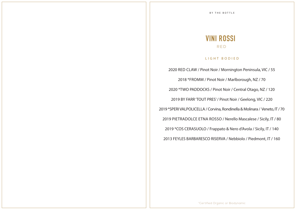BY THE BOTTLE

## **VINI ROSSI** RED

#### LIGHT BODIED

2020 RED CLAW / Pinot Noir / Mornington Peninsula, VIC / 55 2018 \*FROMM / Pinot Noir / Marlborough, NZ / 70 2020 \*TWO PADDOCKS / Pinot Noir / Central Otago, NZ / 120 2019 BY FARR 'TOUT PRES' / Pinot Noir / Geelong, VIC / 220 2019 \*SPERI VALPOLICELLA / Corvina, Rondinella & Molinara / Veneto, IT / 70 2019 PIETRADOLCE ETNA ROSSO / Nerello Mascalese / Sicily, IT / 80 2019 \*COS CERASUOLO / Frappato & Nero d'Avola / Sicily, IT / 140 2013 FEYLES BARBARESCO RISERVA / Nebbiolo / Piedmont, IT / 160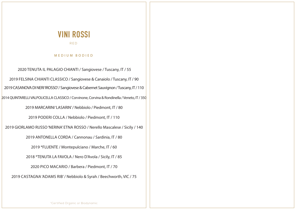# **VINI ROSSI**

RED

#### MEDIUM BODIED

 2020 TENUTA IL PALAGIO CHIANTI / Sangiovese / Tuscany, IT / 55 2019 FELSINA CHIANTI CLASSICO / Sangiovese & Canaiolo / Tuscany, IT / 90 2019 CASANOVA DI NERI 'IROSSO' / Sangiovese & Cabernet Sauvignon / Tuscany, IT / 110 2014 QUINTARELLI VALPOLICELLA CLASSICO / Corvinone, Corvina & Rondinella / Veneto, IT / 350 2019 MARCARINI 'LASARIN' / Nebbiolo / Piedmont, IT / 80 2019 PODERI COLLA / Nebbiolo / Piedmont, IT / 110 2019 GIORLAMO RUSSO 'NERINA' ETNA ROSSO / Nerello Mascalese / Sicily / 140 2019 ANTONELLA CORDA / Cannonau / Sardinia, IT / 80 2019 \*FLUENTE / Montepulciano / Marche, IT / 60 2018 \*TENUTA LA FAVOLA / Nero D'Avola / Sicily, IT / 85 2020 PICO MACARIO / Barbera / Piedmont, IT / 70 2019 CASTAGNA 'ADAMS RIB' / Nebbiolo & Syrah / Beechworth, VIC / 75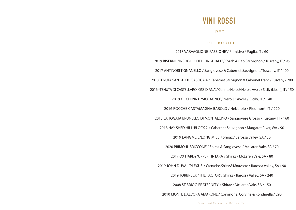# **VINI ROSSI**

RED

#### FULL BODIED

2018 VARVAGLIONE 'PASSIONE' / Primitivo / Puglia, IT / 60 2019 BISERNO 'INSOGLIO DEL CINGHIALE' / Syrah & Cab Sauvignon / Tuscany, IT / 95 2017 ANTINORI TIGNANELLO / Sangiovese & Cabernet Sauvignon / Tuscany, IT / 400 2018 TENUTA SAN GUIDO 'SASSICAIA' / Cabernet Sauvignon & Cabernet Franc / Tuscany / 700 2016 \*TENUTA DI CASTELLARO 'OSSIDIANA' / Corinto Nero & Nero d'Avola / Sicily (Lipari), IT / 150 2019 OCCHIPINTI 'SICCAGNO' / Nero D' Avola / Sicily, IT / 140 2016 ROCCHE CASTAMAGNA BAROLO / Nebbiolo / Piedmont, IT / 220 2013 LA TOGATA BRUNELLO DI MONTALCINO / Sangiovese Grosso / Tuscany, IT / 160 2018 HAY SHED HILL 'BLOCK 2' / Cabernet Sauvignon / Margaret River, WA / 90 2019 LANGMEIL 'LONG MILE' / Shiraz / Barossa Valley, SA / 50 2020 PRIMO 'IL BRICCONE' / Shiraz & Sangiovese / McLaren Vale, SA / 70 2017 OX HARDY 'UPPER TINTARA' / Shiraz / McLaren Vale, SA / 80 2019 JOHN DUVAL 'PLEXUS' / Grenache, Shiraz & Mouvedre / Barossa Valley, SA / 90 2019 TORBRECK 'THE FACTOR' / Shiraz / Barossa Valley, SA / 240 2008 ST BRIOC 'FRATERNITY' / Shiraz / McLaren Vale, SA / 150 2010 MONTE DALL'ORA AMARONE / Corvinone, Corvina & Rondinella / 290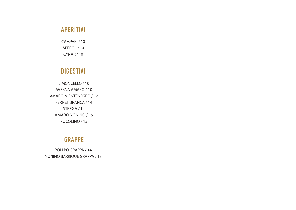# **APERITIVI**

CAMPARI / 10 APEROL / 10 CYNAR / 10

# **DIGESTIVI**

LIMONCELLO / 10 AVERNA AMARO / 10 AMARO MONTENEGRO / 12 FERNET BRANCA / 14 STREGA / 14 AMARO NONINO / 15 RUCOLINO / 15

## **GRAPPE**

POLI PO GRAPPA / 14 NONINO BARRIQUE GRAPPA / 18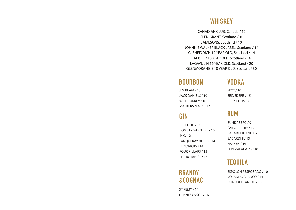## **WHISKEY**

CANADIAN CLUB, Canada / 10 GLEN GRANT, Scotland / 10 JAMESONS, Scotland / 10 JOHNNIE WALKER BLACK LABEL, Scotland / 14 GLENFIDDICH 12 YEAR OLD, Scotland / 14 TALISKER 10 YEAR OLD, Scotland / 16 LAGAVULIN 16 YEAR OLD, Scotland / 20 GLENMORANGIE 18 YEAR OLD, Scotland/ 30

## **BOURBON**

JIM BEAM / 10 JACK DANIELS / 10 WILD TURKEY / 10 MARKERS MARK / 12

## **GIN**

BULLDOG / 10 BOMBAY SAPPHIRE / 10 INK / 12 TANQUERAY NO. 10 / 14 HENDRICKS / 14 FOUR PILLARS / 15 THE BOTANIST / 16

# **BRANDY &COGNAC**

ST REMY / 14 HENNESY VSOP / 16

## **VODKA**

SKYY / 10 BELVEDERE / 15 GREY GOOSE / 15

# **RUM**

BUNDABERG / 9 SAILOR JERRY / 12 BACARDI BLANCA / 10 BACARDI 8 / 13 KRAKEN / 14 RON ZAPACA 23 / 18

# **TEQUILA**

ESPOLON RESPOSADO / 10 VOLANDO BLANCO / 14 DON JULIO ANEJO / 16